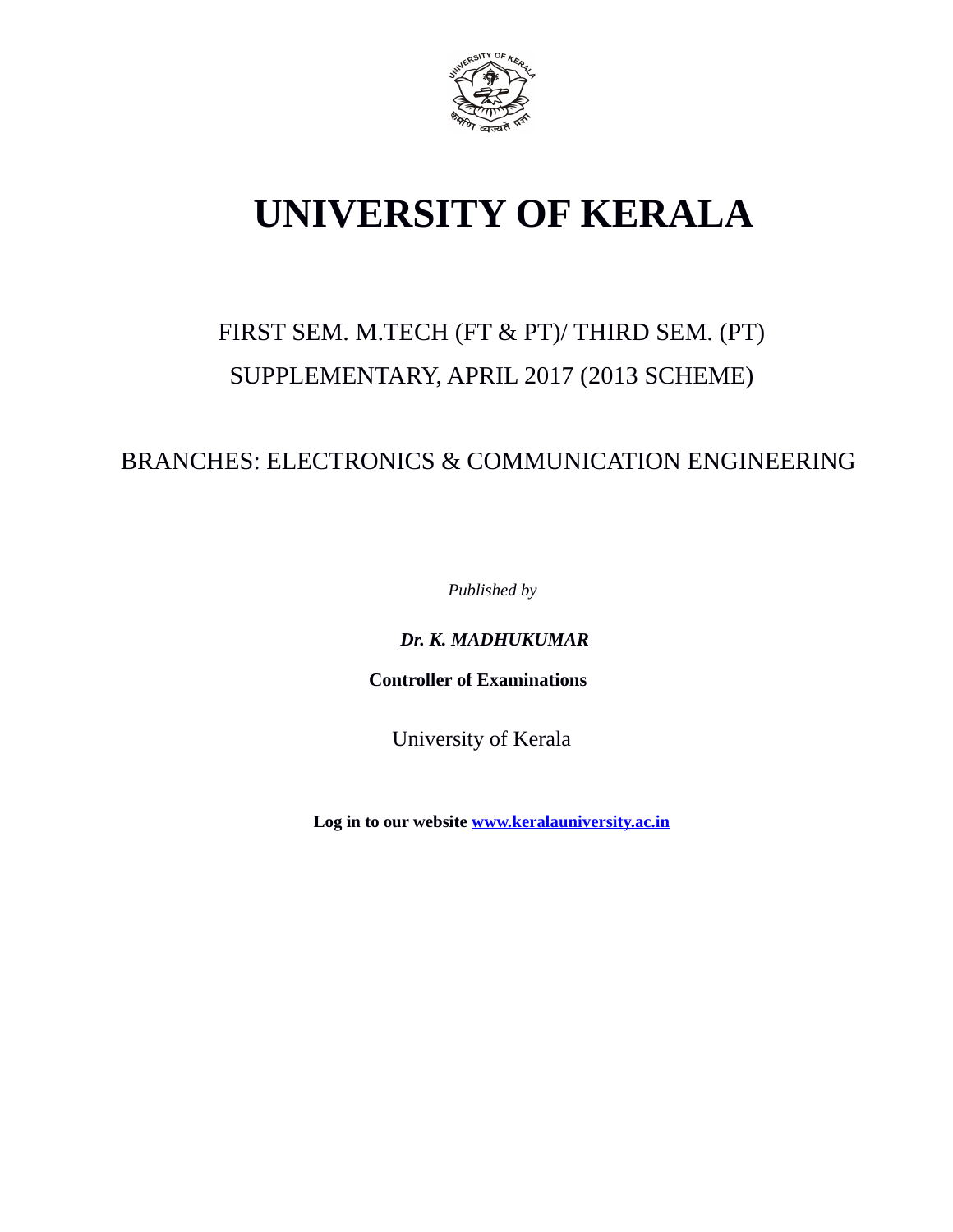

# **UNIVERSITY OF KERALA**

## FIRST SEM. M.TECH (FT & PT)/ THIRD SEM. (PT) SUPPLEMENTARY, APRIL 2017 (2013 SCHEME)

## BRANCHES: ELECTRONICS & COMMUNICATION ENGINEERING

*Published by*

*Dr. K. MADHUKUMAR*

 **Controller of Examinations**

University of Kerala

**Log in to our website [www.keralauniversity.ac.in](http://www.keralauniversity.ac.in/)**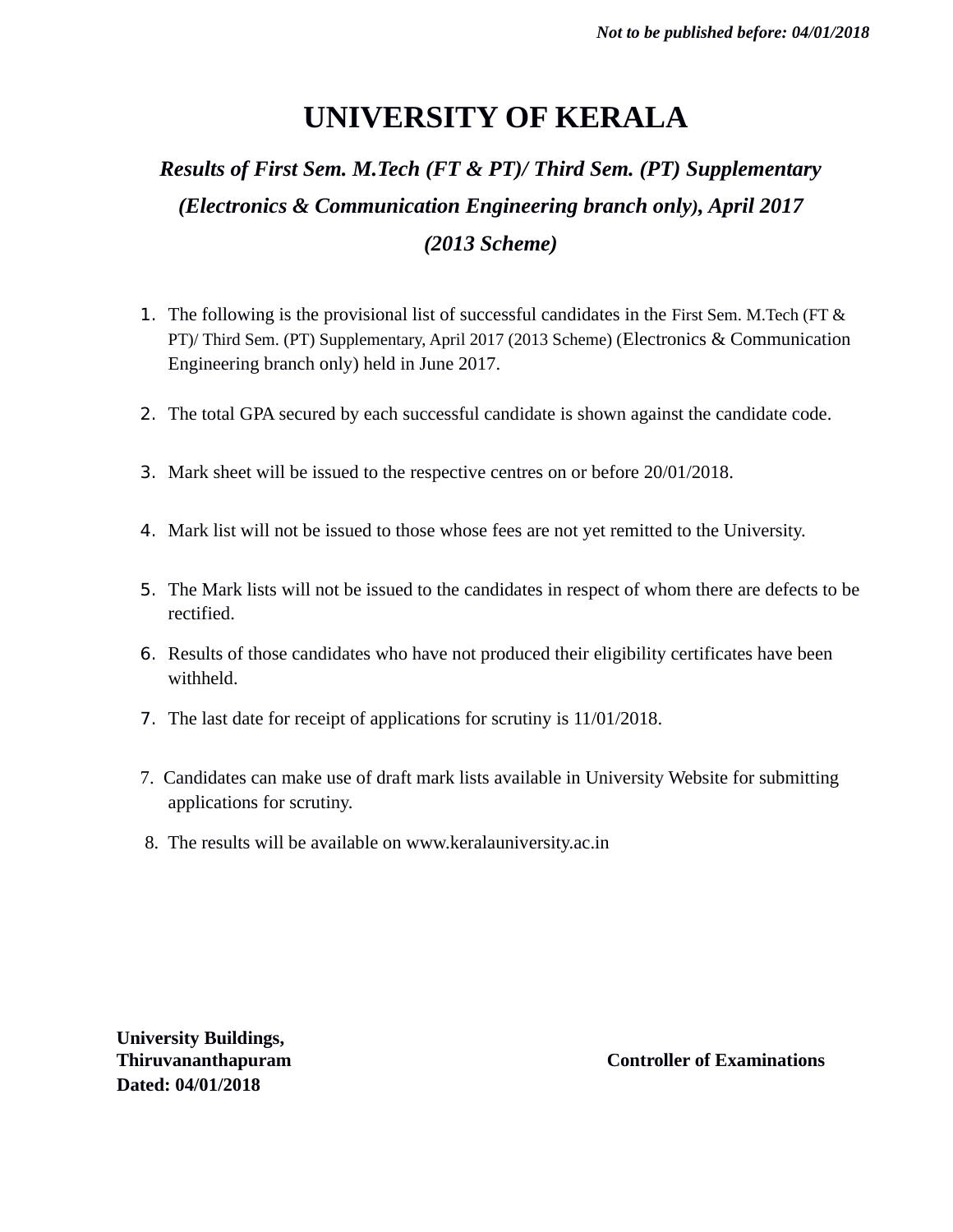## **UNIVERSITY OF KERALA**

## *Results of First Sem. M.Tech (FT & PT)/ Third Sem. (PT) Supplementary (Electronics & Communication Engineering branch only), April 2017 (2013 Scheme)*

- 1. The following is the provisional list of successful candidates in the First Sem. M.Tech (FT & PT)/ Third Sem. (PT) Supplementary, April 2017 (2013 Scheme) (Electronics & Communication Engineering branch only) held in June 2017.
- 2. The total GPA secured by each successful candidate is shown against the candidate code.
- 3. Mark sheet will be issued to the respective centres on or before 20/01/2018.
- 4. Mark list will not be issued to those whose fees are not yet remitted to the University.
- 5. The Mark lists will not be issued to the candidates in respect of whom there are defects to be rectified.
- 6. Results of those candidates who have not produced their eligibility certificates have been withheld.
- 7. The last date for receipt of applications for scrutiny is 11/01/2018.
- 7. Candidates can make use of draft mark lists available in University Website for submitting applications for scrutiny.
- 8. The results will be available on www.keralauniversity.ac.in

**University Buildings, Dated: 04/01/2018**

**Thiruvananthapuram Controller of Examinations**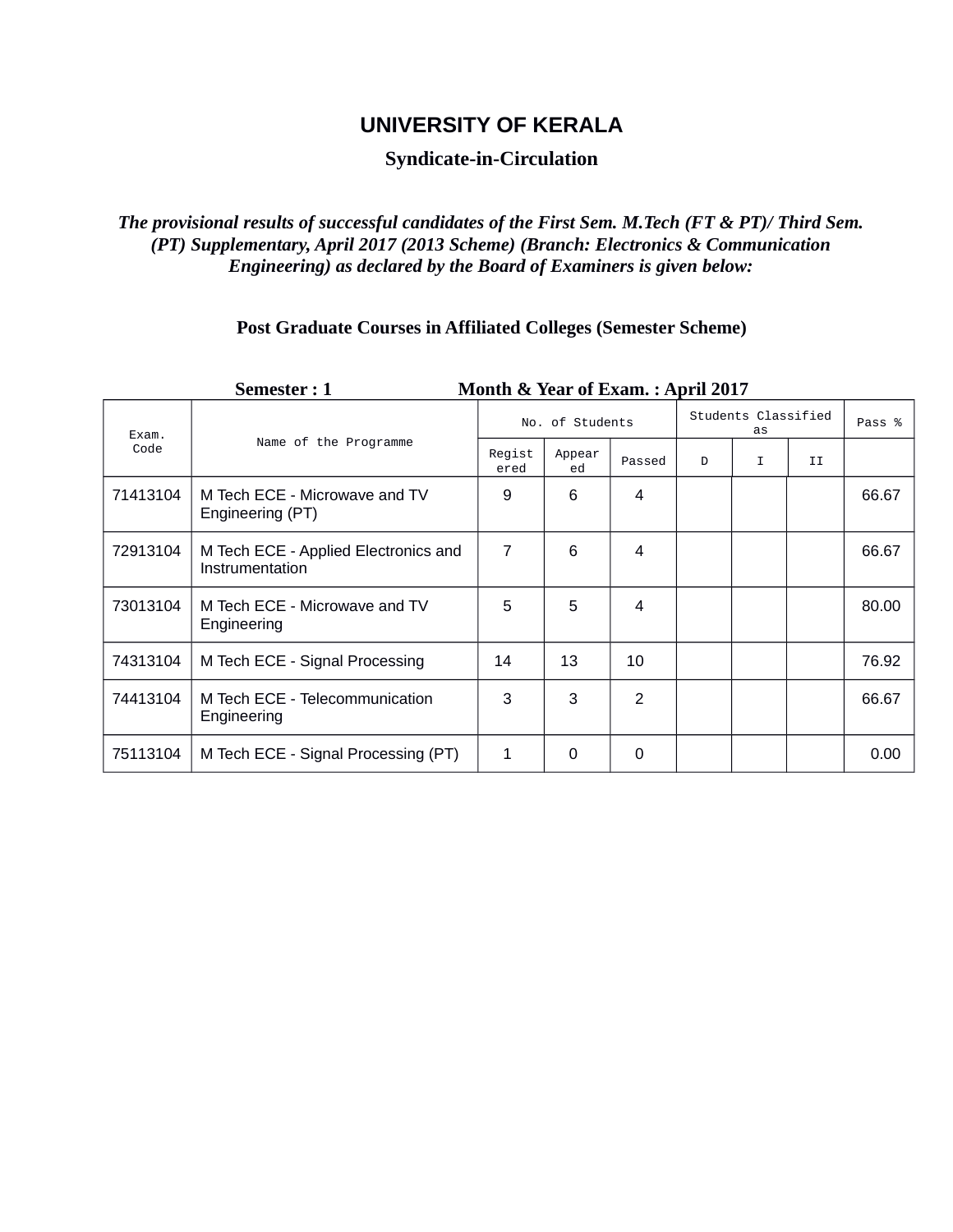## **UNIVERSITY OF KERALA**

## **Syndicate-in-Circulation**

#### *The provisional results of successful candidates of the First Sem. M.Tech (FT & PT)/ Third Sem. (PT) Supplementary, April 2017 (2013 Scheme) (Branch: Electronics & Communication Engineering) as declared by the Board of Examiners is given below:*

## **Post Graduate Courses in Affiliated Colleges (Semester Scheme)**

| Month & Year of Exam.: April 2017<br>Semester: 1 |                                                         |                 |              |                |                           |   |    |        |  |  |  |
|--------------------------------------------------|---------------------------------------------------------|-----------------|--------------|----------------|---------------------------|---|----|--------|--|--|--|
| Exam.<br>Code                                    | Name of the Programme                                   | No. of Students |              |                | Students Classified<br>as |   |    | Pass % |  |  |  |
|                                                  |                                                         | Regist<br>ered  | Appear<br>ed | Passed         | D                         | I | II |        |  |  |  |
| 71413104                                         | M Tech ECE - Microwave and TV<br>Engineering (PT)       | 9               | 6            | 4              |                           |   |    | 66.67  |  |  |  |
| 72913104                                         | M Tech ECE - Applied Electronics and<br>Instrumentation | 7               | 6            | 4              |                           |   |    | 66.67  |  |  |  |
| 73013104                                         | M Tech ECE - Microwave and TV<br>Engineering            | 5               | 5            | 4              |                           |   |    | 80.00  |  |  |  |
| 74313104                                         | M Tech ECE - Signal Processing                          | 14              | 13           | 10             |                           |   |    | 76.92  |  |  |  |
| 74413104                                         | M Tech ECE - Telecommunication<br>Engineering           | 3               | 3            | $\mathfrak{p}$ |                           |   |    | 66.67  |  |  |  |
| 75113104                                         | M Tech ECE - Signal Processing (PT)                     | 1               | 0            | 0              |                           |   |    | 0.00   |  |  |  |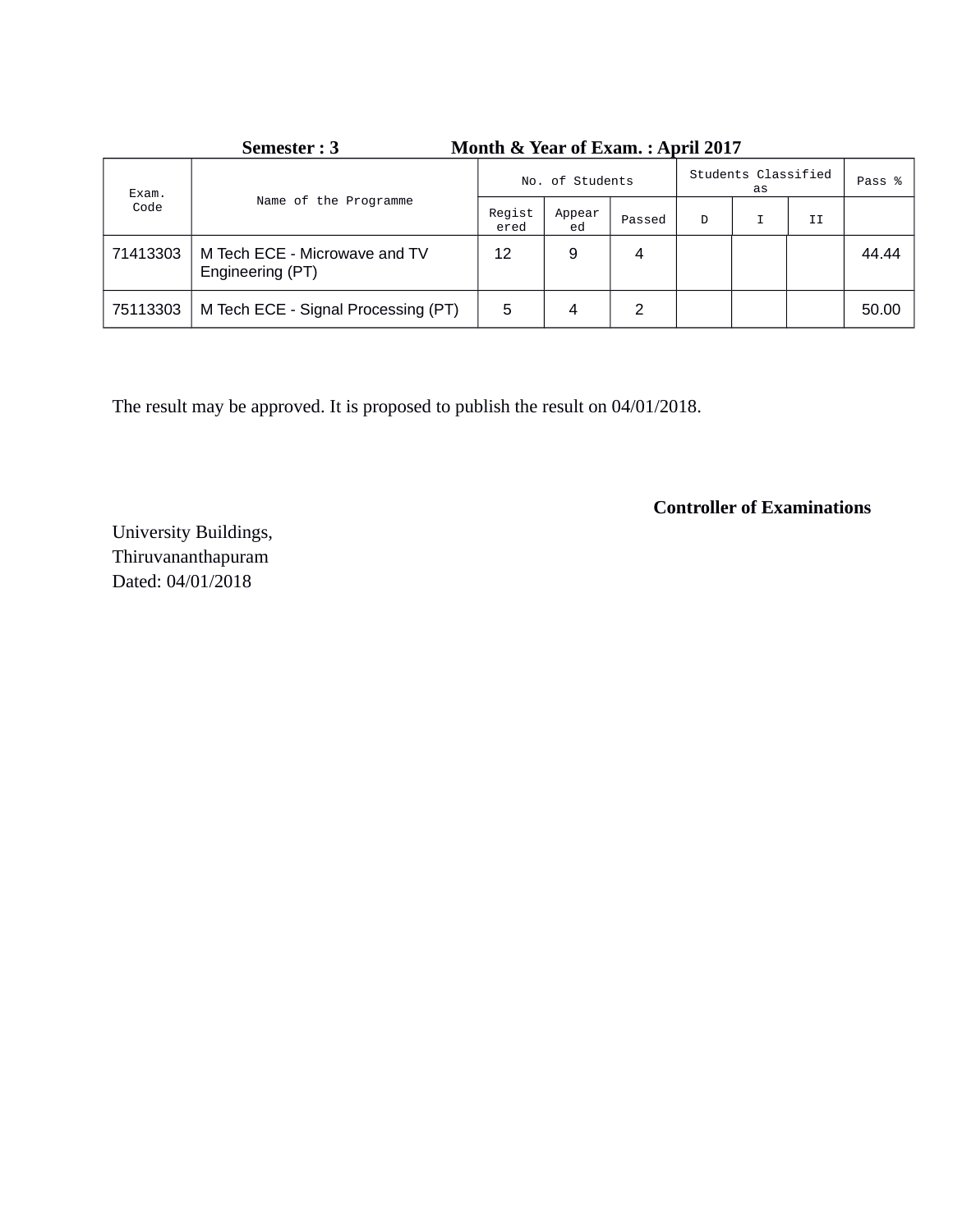| Semester : 3<br>Month & Year of Exam. : April 2017 |                                                   |                 |              |        |                           |  |    |        |
|----------------------------------------------------|---------------------------------------------------|-----------------|--------------|--------|---------------------------|--|----|--------|
| Exam.<br>Code                                      | Name of the Programme                             | No. of Students |              |        | Students Classified<br>as |  |    | Pass % |
|                                                    |                                                   | Regist<br>ered  | Appear<br>ed | Passed | D                         |  | II |        |
| 71413303                                           | M Tech ECE - Microwave and TV<br>Engineering (PT) | 12              | 9            | 4      |                           |  |    | 44.44  |
| 75113303                                           | M Tech ECE - Signal Processing (PT)               | 5               | 4            | 2      |                           |  |    | 50.00  |

**Semester : 3 Month & Year of Exam. : April 2017**

The result may be approved. It is proposed to publish the result on 04/01/2018.

**Controller of Examinations**

University Buildings, Thiruvananthapuram Dated: 04/01/2018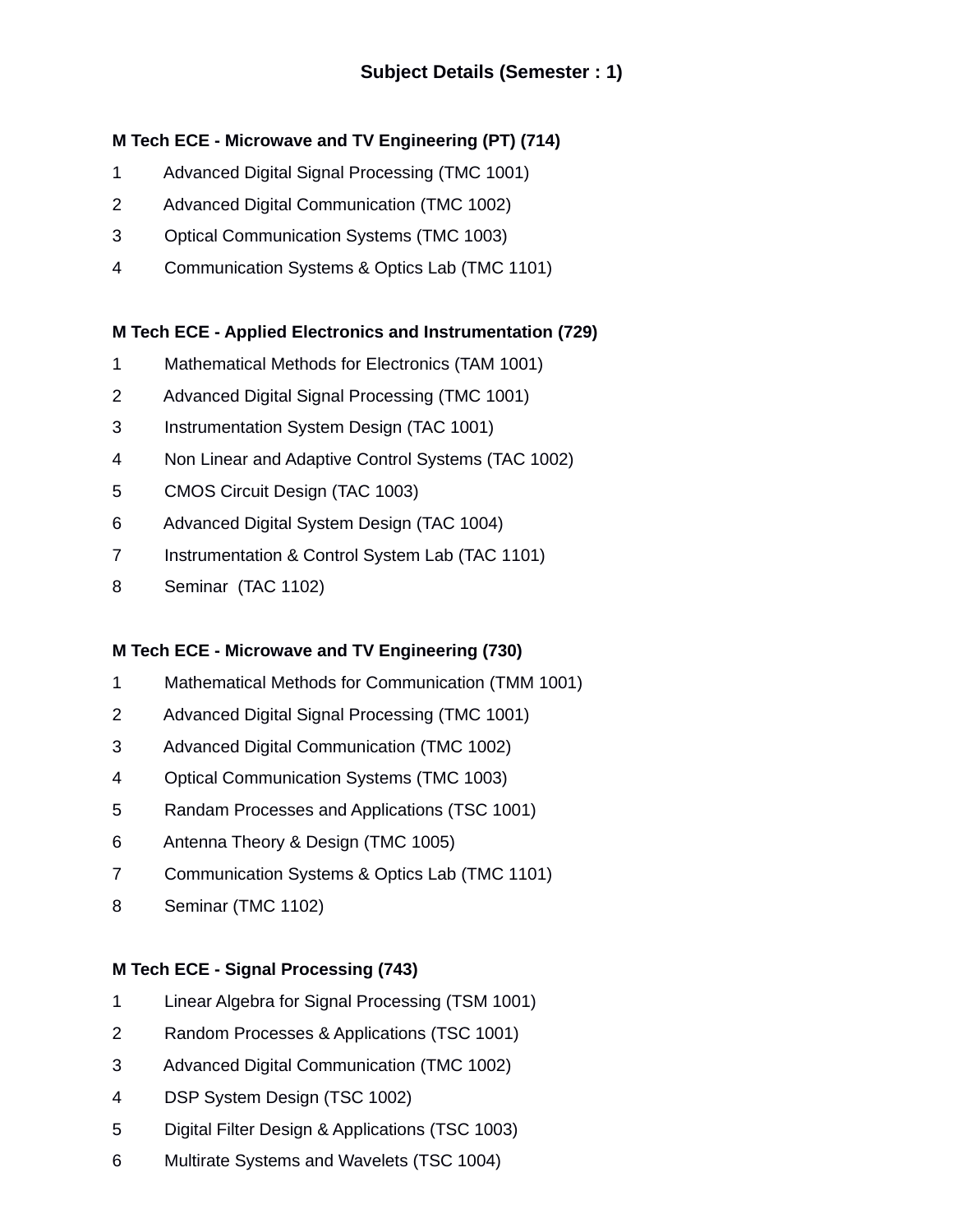## **M Tech ECE - Microwave and TV Engineering (PT) (714)**

- 1 Advanced Digital Signal Processing (TMC 1001)
- 2 Advanced Digital Communication (TMC 1002)
- 3 Optical Communication Systems (TMC 1003)
- 4 Communication Systems & Optics Lab (TMC 1101)

#### **M Tech ECE - Applied Electronics and Instrumentation (729)**

- 1 Mathematical Methods for Electronics (TAM 1001)
- 2 Advanced Digital Signal Processing (TMC 1001)
- 3 Instrumentation System Design (TAC 1001)
- 4 Non Linear and Adaptive Control Systems (TAC 1002)
- 5 CMOS Circuit Design (TAC 1003)
- 6 Advanced Digital System Design (TAC 1004)
- 7 Instrumentation & Control System Lab (TAC 1101)
- 8 Seminar (TAC 1102)

#### **M Tech ECE - Microwave and TV Engineering (730)**

- 1 Mathematical Methods for Communication (TMM 1001)
- 2 Advanced Digital Signal Processing (TMC 1001)
- 3 Advanced Digital Communication (TMC 1002)
- 4 Optical Communication Systems (TMC 1003)
- 5 Randam Processes and Applications (TSC 1001)
- 6 Antenna Theory & Design (TMC 1005)
- 7 Communication Systems & Optics Lab (TMC 1101)
- 8 Seminar (TMC 1102)

#### **M Tech ECE - Signal Processing (743)**

- 1 Linear Algebra for Signal Processing (TSM 1001)
- 2 Random Processes & Applications (TSC 1001)
- 3 Advanced Digital Communication (TMC 1002)
- 4 DSP System Design (TSC 1002)
- 5 Digital Filter Design & Applications (TSC 1003)
- 6 Multirate Systems and Wavelets (TSC 1004)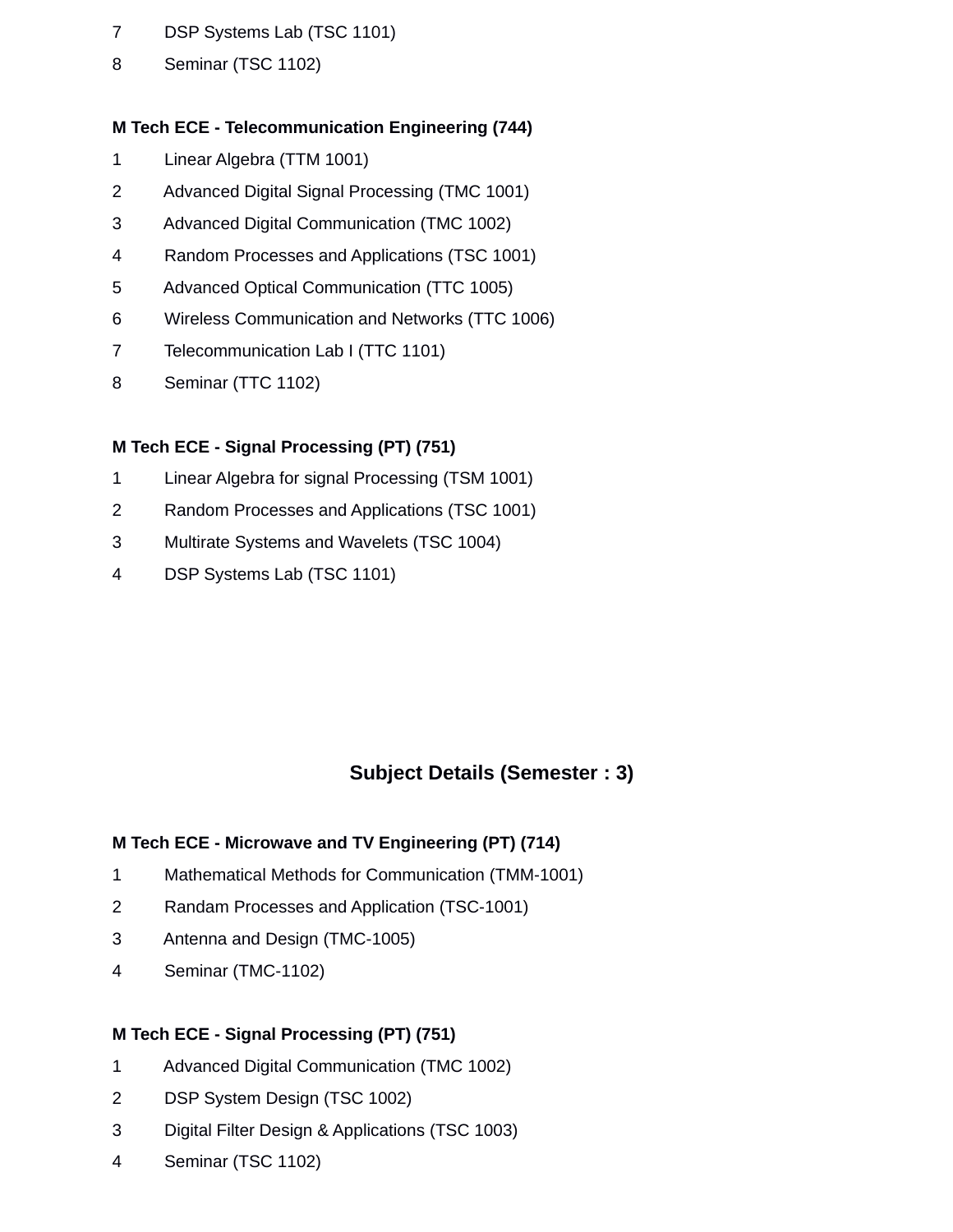- 7 DSP Systems Lab (TSC 1101)
- 8 Seminar (TSC 1102)

### **M Tech ECE - Telecommunication Engineering (744)**

- 1 Linear Algebra (TTM 1001)
- 2 Advanced Digital Signal Processing (TMC 1001)
- 3 Advanced Digital Communication (TMC 1002)
- 4 Random Processes and Applications (TSC 1001)
- 5 Advanced Optical Communication (TTC 1005)
- 6 Wireless Communication and Networks (TTC 1006)
- 7 Telecommunication Lab I (TTC 1101)
- 8 Seminar (TTC 1102)

### **M Tech ECE - Signal Processing (PT) (751)**

- 1 Linear Algebra for signal Processing (TSM 1001)
- 2 Random Processes and Applications (TSC 1001)
- 3 Multirate Systems and Wavelets (TSC 1004)
- 4 DSP Systems Lab (TSC 1101)

## **Subject Details (Semester : 3)**

#### **M Tech ECE - Microwave and TV Engineering (PT) (714)**

- 1 Mathematical Methods for Communication (TMM-1001)
- 2 Randam Processes and Application (TSC-1001)
- 3 Antenna and Design (TMC-1005)
- 4 Seminar (TMC-1102)

#### **M Tech ECE - Signal Processing (PT) (751)**

- 1 Advanced Digital Communication (TMC 1002)
- 2 DSP System Design (TSC 1002)
- 3 Digital Filter Design & Applications (TSC 1003)
- 4 Seminar (TSC 1102)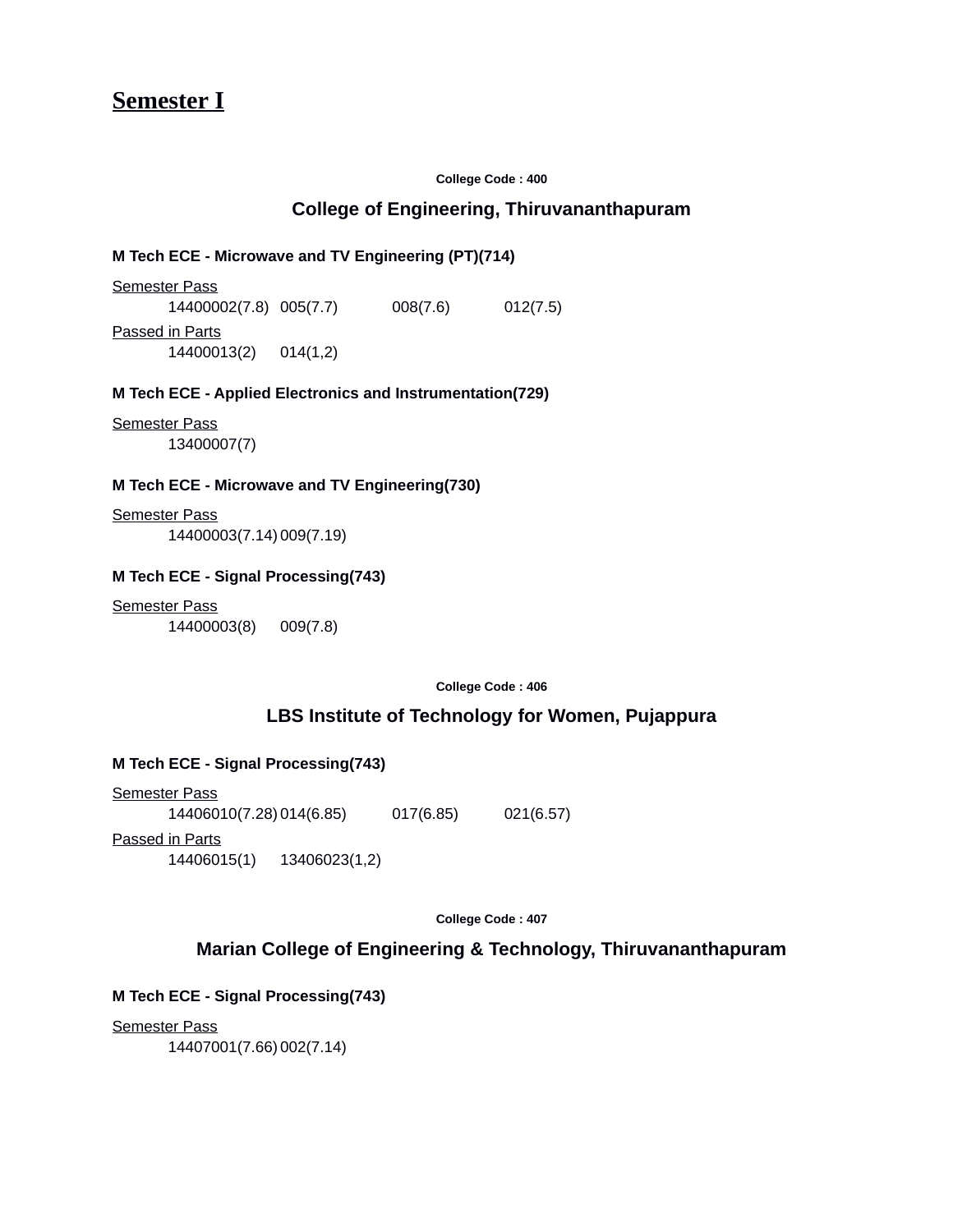**Semester I**

**College Code : 400**

#### **College of Engineering, Thiruvananthapuram**

#### **M Tech ECE - Microwave and TV Engineering (PT)(714)**

Semester Pass 14400002(7.8) 005(7.7) 008(7.6) 012(7.5) Passed in Parts

14400013(2) 014(1,2)

#### **M Tech ECE - Applied Electronics and Instrumentation(729)**

Semester Pass 13400007(7)

#### **M Tech ECE - Microwave and TV Engineering(730)**

Semester Pass 14400003(7.14)009(7.19)

#### **M Tech ECE - Signal Processing(743)**

Semester Pass 14400003(8) 009(7.8)

**College Code : 406**

#### **LBS Institute of Technology for Women, Pujappura**

#### **M Tech ECE - Signal Processing(743)**

Semester Pass 14406010(7.28)014(6.85) 017(6.85) 021(6.57) Passed in Parts 14406015(1) 13406023(1,2)

**College Code : 407**

#### **Marian College of Engineering & Technology, Thiruvananthapuram**

#### **M Tech ECE - Signal Processing(743)**

Semester Pass

14407001(7.66)002(7.14)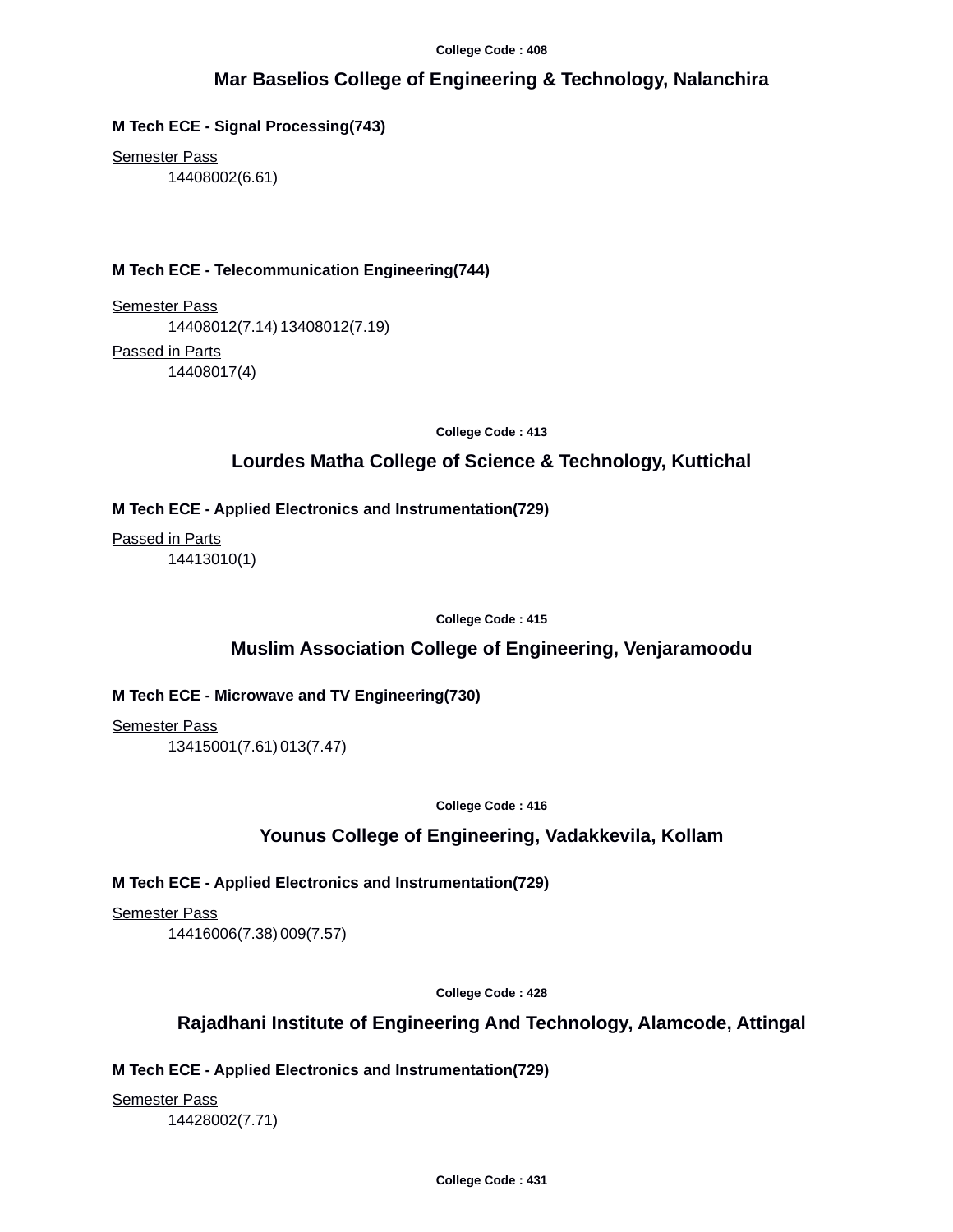### **Mar Baselios College of Engineering & Technology, Nalanchira**

**M Tech ECE - Signal Processing(743)**

Semester Pass 14408002(6.61)

#### **M Tech ECE - Telecommunication Engineering(744)**

Semester Pass 14408012(7.14)13408012(7.19) Passed in Parts 14408017(4)

**College Code : 413**

#### **Lourdes Matha College of Science & Technology, Kuttichal**

#### **M Tech ECE - Applied Electronics and Instrumentation(729)**

Passed in Parts 14413010(1)

**College Code : 415**

#### **Muslim Association College of Engineering, Venjaramoodu**

#### **M Tech ECE - Microwave and TV Engineering(730)**

Semester Pass 13415001(7.61)013(7.47)

**College Code : 416**

#### **Younus College of Engineering, Vadakkevila, Kollam**

#### **M Tech ECE - Applied Electronics and Instrumentation(729)**

**Semester Pass** 

14416006(7.38)009(7.57)

**College Code : 428**

#### **Rajadhani Institute of Engineering And Technology, Alamcode, Attingal**

#### **M Tech ECE - Applied Electronics and Instrumentation(729)**

Semester Pass 14428002(7.71)